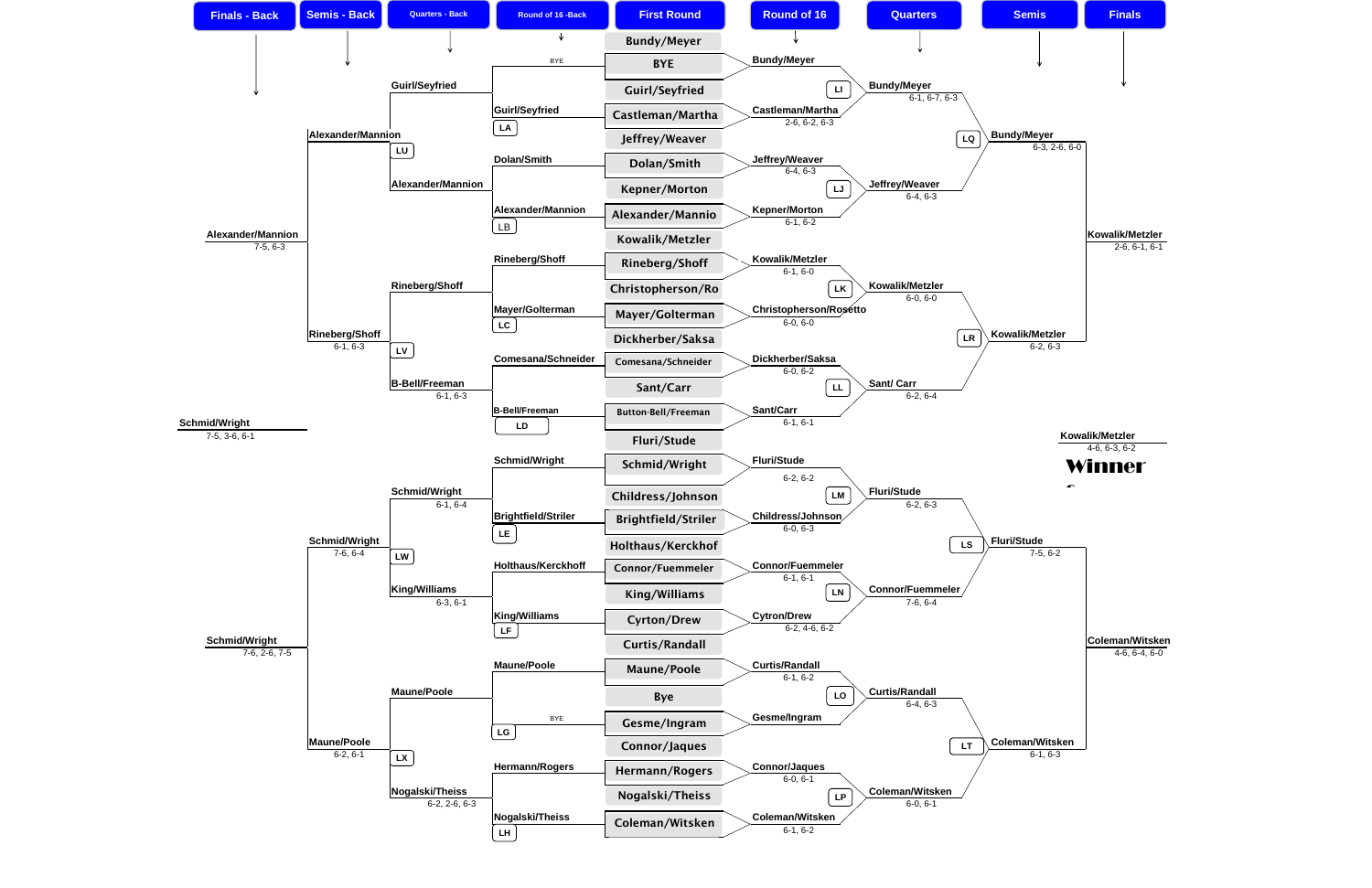